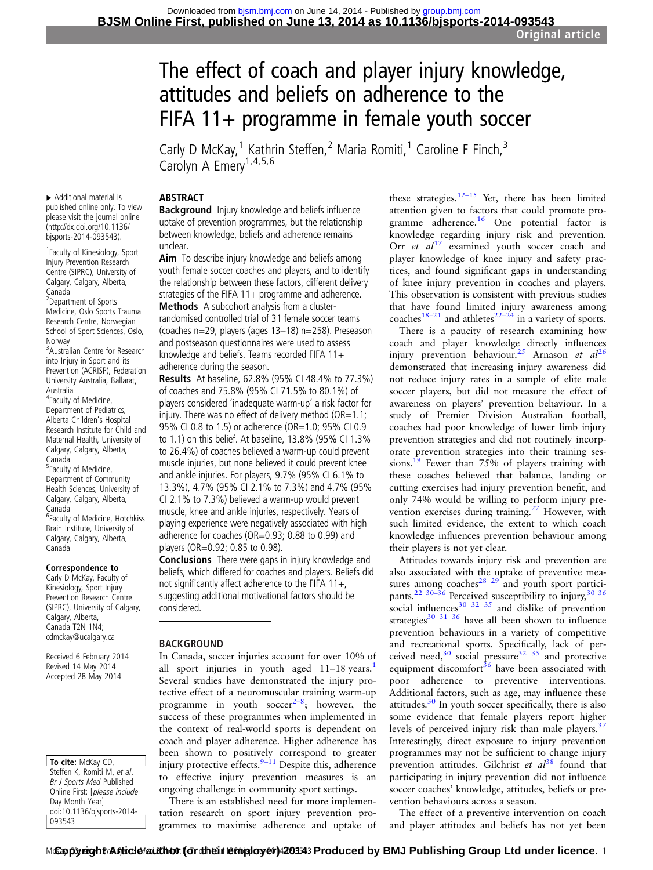# The effect of coach and player injury knowledge, attitudes and beliefs on adherence to the FIFA  $11+$  programme in female youth soccer

Carly D McKay,<sup>1</sup> Kathrin Steffen,<sup>2</sup> Maria Romiti,<sup>1</sup> Caroline F Finch,<sup>3</sup> Carolyn A Emery<sup>1,4,5,6</sup>

# **ABSTRACT**

Background Injury knowledge and beliefs influence uptake of prevention programmes, but the relationship between knowledge, beliefs and adherence remains unclear.

Aim To describe injury knowledge and beliefs among youth female soccer coaches and players, and to identify the relationship between these factors, different delivery strategies of the FIFA 11+ programme and adherence. Methods A subcohort analysis from a clusterrandomised controlled trial of 31 female soccer teams (coaches n=29, players (ages 13–18) n=258). Preseason and postseason questionnaires were used to assess knowledge and beliefs. Teams recorded FIFA 11+

adherence during the season.

Results At baseline, 62.8% (95% CI 48.4% to 77.3%) of coaches and 75.8% (95% CI 71.5% to 80.1%) of players considered 'inadequate warm-up' a risk factor for injury. There was no effect of delivery method  $(OR=1.1;$ 95% CI 0.8 to 1.5) or adherence (OR=1.0; 95% CI 0.9 to 1.1) on this belief. At baseline, 13.8% (95% CI 1.3% to 26.4%) of coaches believed a warm-up could prevent muscle injuries, but none believed it could prevent knee and ankle injuries. For players, 9.7% (95% CI 6.1% to 13.3%), 4.7% (95% CI 2.1% to 7.3%) and 4.7% (95% CI 2.1% to 7.3%) believed a warm-up would prevent muscle, knee and ankle injuries, respectively. Years of playing experience were negatively associated with high adherence for coaches (OR=0.93; 0.88 to 0.99) and players (OR=0.92; 0.85 to 0.98).

Conclusions There were gaps in injury knowledge and beliefs, which differed for coaches and players. Beliefs did not significantly affect adherence to the FIFA 11+, suggesting additional motivational factors should be considered.

# **BACKGROUND**

In Canada, soccer injuries account for over 10% of all sport injuries in youth aged  $11-18$  $11-18$  years.<sup>1</sup> Several studies have demonstrated the injury protective effect of a neuromuscular training warm-up programme in youth  $\text{soccer}^{2-8}$  $\text{soccer}^{2-8}$  $\text{soccer}^{2-8}$ ; however, the success of these programmes when implemented in the context of real-world sports is dependent on coach and player adherence. Higher adherence has been shown to positively correspond to greater injury protective effects. $9-11$  $9-11$  Despite this, adherence to effective injury prevention measures is an ongoing challenge in community sport settings.

There is an established need for more implementation research on sport injury prevention programmes to maximise adherence and uptake of

these strategies.<sup>[12](#page-6-0)–15</sup> Yet, there has been limited attention given to factors that could promote programme adherence.[16](#page-6-0) One potential factor is knowledge regarding injury risk and prevention. Orr  $et$   $al^{17}$  $al^{17}$  $al^{17}$  examined youth soccer coach and player knowledge of knee injury and safety practices, and found significant gaps in understanding of knee injury prevention in coaches and players. This observation is consistent with previous studies that have found limited injury awareness among that have found in the  $m_1, n_2$  and  $m_2$  in a variety of sports.

There is a paucity of research examining how coach and player knowledge directly influences injury prevention behaviour.<sup>[25](#page-6-0)</sup> Arnason et  $al^{26}$  $al^{26}$  $al^{26}$ demonstrated that increasing injury awareness did not reduce injury rates in a sample of elite male soccer players, but did not measure the effect of awareness on players' prevention behaviour. In a study of Premier Division Australian football, coaches had poor knowledge of lower limb injury prevention strategies and did not routinely incorporate prevention strategies into their training ses-sions.<sup>[19](#page-6-0)</sup> Fewer than 75% of players training with these coaches believed that balance, landing or cutting exercises had injury prevention benefit, and only 74% would be willing to perform injury pre-vention exercises during training.<sup>[27](#page-6-0)</sup> However, with such limited evidence, the extent to which coach knowledge influences prevention behaviour among their players is not yet clear.

Attitudes towards injury risk and prevention are also associated with the uptake of preventive measures among coaches<sup>28</sup>  $29$  and youth sport partici-pants.<sup>[22 30](#page-6-0)–36</sup> Perceived susceptibility to injury,<sup>[30 36](#page-6-0)</sup> social influences<sup>30 32 35</sup> and dislike of prevention strategies $30^{31}$  36 have all been shown to influence prevention behaviours in a variety of competitive and recreational sports. Specifically, lack of perceived need, $30 \text{ social pressure}$  $32 \text{ } 35 \text{ }$  and protective equipment discomfort $36$  have been associated with poor adherence to preventive interventions. Additional factors, such as age, may influence these attitudes. $30$  In youth soccer specifically, there is also some evidence that female players report higher levels of perceived injury risk than male players.<sup>[37](#page-6-0)</sup> Interestingly, direct exposure to injury prevention programmes may not be sufficient to change injury prevention attitudes. Gilchrist et  $al^{38}$  $al^{38}$  $al^{38}$  found that participating in injury prevention did not influence soccer coaches' knowledge, attitudes, beliefs or prevention behaviours across a season.

The effect of a preventive intervention on coach and player attitudes and beliefs has not yet been

▸ Additional material is published online only. To view please visit the journal online [\(http://dx.doi.org/10.1136/](http://dx.doi.org/10.1136/bjsports-2014-093543) [bjsports-2014-093543](http://dx.doi.org/10.1136/bjsports-2014-093543)).

1 Faculty of Kinesiology, Sport Injury Prevention Research Centre (SIPRC), University of Calgary, Calgary, Alberta, Canada 2 Department of Sports Medicine, Oslo Sports Trauma Research Centre, Norwegian School of Sport Sciences, Oslo, Norway 3 Australian Centre for Research into Injury in Sport and its Prevention (ACRISP), Federation University Australia, Ballarat, Australia 4 Faculty of Medicine, Department of Pediatrics, Alberta Children's Hospital Research Institute for Child and Maternal Health, University of Calgary, Calgary, Alberta, Canada 5 Faculty of Medicine, Department of Community Health Sciences, University of Calgary, Calgary, Alberta, Canada <sup>6</sup>Faculty of Medicine, Hotchkiss Brain Institute, University of Calgary, Calgary, Alberta, Canada

#### Correspondence to

Carly D McKay, Faculty of Kinesiology, Sport Injury Prevention Research Centre (SIPRC), University of Calgary, Calgary, Alberta, Canada T2N 1N4; cdmckay@ucalgary.ca

Received 6 February 2014 Revised 14 May 2014 Accepted 28 May 2014

To cite: McKay CD, Steffen K, Romiti M, et al. Br J Sports Med Published Online First: [please include Day Month Year] doi:10.1136/bjsports-2014- 093543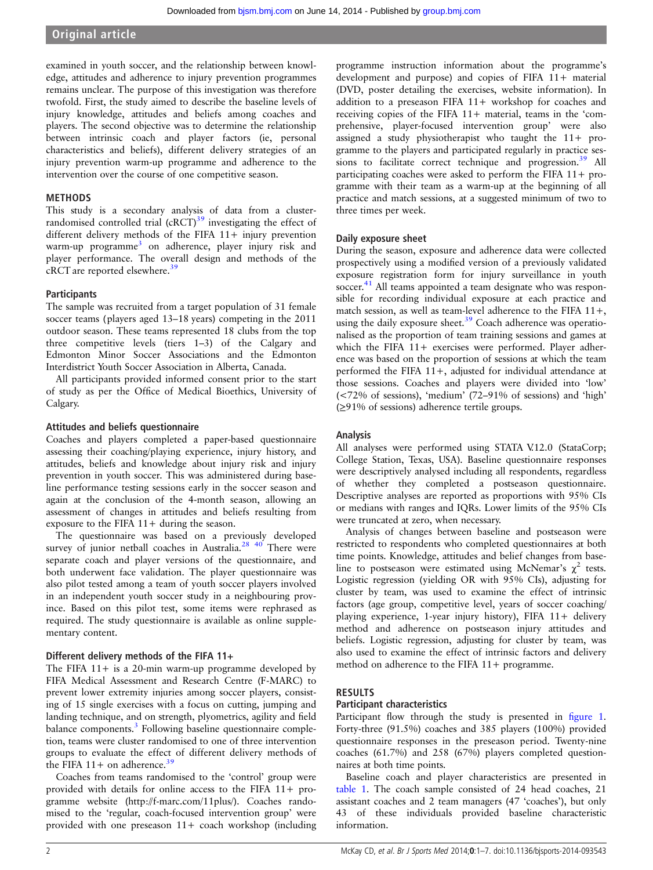# Original article

examined in youth soccer, and the relationship between knowledge, attitudes and adherence to injury prevention programmes remains unclear. The purpose of this investigation was therefore twofold. First, the study aimed to describe the baseline levels of injury knowledge, attitudes and beliefs among coaches and players. The second objective was to determine the relationship between intrinsic coach and player factors (ie, personal characteristics and beliefs), different delivery strategies of an injury prevention warm-up programme and adherence to the intervention over the course of one competitive season.

## METHODS

This study is a secondary analysis of data from a clusterrandomised controlled trial  $(cRCT)^{39}$  $(cRCT)^{39}$  $(cRCT)^{39}$  investigating the effect of different delivery methods of the FIFA 11+ injury prevention warm-up programme<sup>[3](#page-5-0)</sup> on adherence, player injury risk and player performance. The overall design and methods of the cRCT are reported elsewhere.[39](#page-6-0)

## **Participants**

The sample was recruited from a target population of 31 female soccer teams (players aged 13–18 years) competing in the 2011 outdoor season. These teams represented 18 clubs from the top three competitive levels (tiers 1–3) of the Calgary and Edmonton Minor Soccer Associations and the Edmonton Interdistrict Youth Soccer Association in Alberta, Canada.

All participants provided informed consent prior to the start of study as per the Office of Medical Bioethics, University of Calgary.

## Attitudes and beliefs questionnaire

Coaches and players completed a paper-based questionnaire assessing their coaching/playing experience, injury history, and attitudes, beliefs and knowledge about injury risk and injury prevention in youth soccer. This was administered during baseline performance testing sessions early in the soccer season and again at the conclusion of the 4-month season, allowing an assessment of changes in attitudes and beliefs resulting from exposure to the FIFA  $11+$  during the season.

The questionnaire was based on a previously developed survey of junior netball coaches in Australia. $28/40$  There were separate coach and player versions of the questionnaire, and both underwent face validation. The player questionnaire was also pilot tested among a team of youth soccer players involved in an independent youth soccer study in a neighbouring province. Based on this pilot test, some items were rephrased as required. The study questionnaire is available as online supplementary content.

# Different delivery methods of the FIFA 11+

The FIFA 11+ is a 20-min warm-up programme developed by FIFA Medical Assessment and Research Centre (F-MARC) to prevent lower extremity injuries among soccer players, consisting of 15 single exercises with a focus on cutting, jumping and landing technique, and on strength, plyometrics, agility and field balance components.<sup>[3](#page-5-0)</sup> Following baseline questionnaire completion, teams were cluster randomised to one of three intervention groups to evaluate the effect of different delivery methods of the FIFA 11+ on adherence.<sup>[39](#page-6-0)</sup>

Coaches from teams randomised to the 'control' group were provided with details for online access to the FIFA 11+ programme website (<http://f-marc.com/11plus/>). Coaches randomised to the 'regular, coach-focused intervention group' were provided with one preseason 11+ coach workshop (including

programme instruction information about the programme's development and purpose) and copies of FIFA 11+ material (DVD, poster detailing the exercises, website information). In addition to a preseason FIFA 11+ workshop for coaches and receiving copies of the FIFA 11+ material, teams in the 'comprehensive, player-focused intervention group' were also assigned a study physiotherapist who taught the 11+ programme to the players and participated regularly in practice sessions to facilitate correct technique and progression.<sup>39</sup> All participating coaches were asked to perform the FIFA 11+ programme with their team as a warm-up at the beginning of all practice and match sessions, at a suggested minimum of two to three times per week.

# Daily exposure sheet

During the season, exposure and adherence data were collected prospectively using a modified version of a previously validated exposure registration form for injury surveillance in youth soccer.<sup>[41](#page-6-0)</sup> All teams appointed a team designate who was responsible for recording individual exposure at each practice and match session, as well as team-level adherence to the FIFA  $11+$ , using the daily exposure sheet. $39$  Coach adherence was operationalised as the proportion of team training sessions and games at which the FIFA 11+ exercises were performed. Player adherence was based on the proportion of sessions at which the team performed the FIFA 11+, adjusted for individual attendance at those sessions. Coaches and players were divided into 'low' (<72% of sessions), 'medium' (72–91% of sessions) and 'high' (≥91% of sessions) adherence tertile groups.

# Analysis

All analyses were performed using STATA V.12.0 (StataCorp; College Station, Texas, USA). Baseline questionnaire responses were descriptively analysed including all respondents, regardless of whether they completed a postseason questionnaire. Descriptive analyses are reported as proportions with 95% CIs or medians with ranges and IQRs. Lower limits of the 95% CIs were truncated at zero, when necessary.

Analysis of changes between baseline and postseason were restricted to respondents who completed questionnaires at both time points. Knowledge, attitudes and belief changes from baseline to postseason were estimated using McNemar's  $\chi^2$  tests. Logistic regression (yielding OR with 95% CIs), adjusting for cluster by team, was used to examine the effect of intrinsic factors (age group, competitive level, years of soccer coaching/ playing experience, 1-year injury history), FIFA 11+ delivery method and adherence on postseason injury attitudes and beliefs. Logistic regression, adjusting for cluster by team, was also used to examine the effect of intrinsic factors and delivery method on adherence to the FIFA 11+ programme.

# RESULTS

# Participant characteristics

Participant flow through the study is presented in fi[gure 1.](#page-2-0) Forty-three (91.5%) coaches and 385 players (100%) provided questionnaire responses in the preseason period. Twenty-nine coaches (61.7%) and 258 (67%) players completed questionnaires at both time points.

Baseline coach and player characteristics are presented in [table 1](#page-2-0). The coach sample consisted of 24 head coaches, 21 assistant coaches and 2 team managers (47 'coaches'), but only 43 of these individuals provided baseline characteristic information.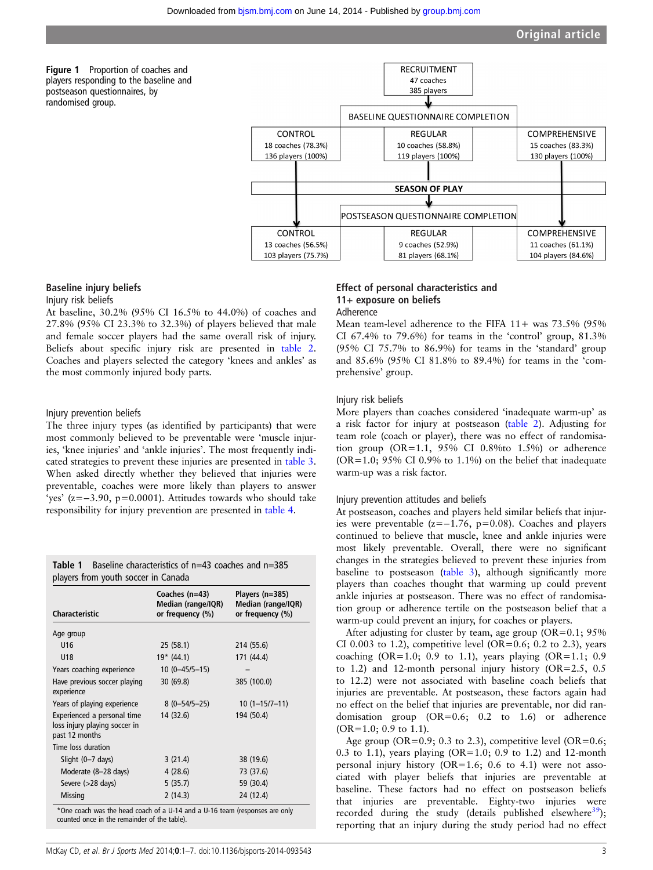<span id="page-2-0"></span>



# Baseline injury beliefs

#### Injury risk beliefs

At baseline, 30.2% (95% CI 16.5% to 44.0%) of coaches and 27.8% (95% CI 23.3% to 32.3%) of players believed that male and female soccer players had the same overall risk of injury. Beliefs about specific injury risk are presented in [table 2](#page-3-0). Coaches and players selected the category 'knees and ankles' as the most commonly injured body parts.

#### Injury prevention beliefs

The three injury types (as identified by participants) that were most commonly believed to be preventable were 'muscle injuries, 'knee injuries' and 'ankle injuries'. The most frequently indicated strategies to prevent these injuries are presented in [table 3](#page-3-0). When asked directly whether they believed that injuries were preventable, coaches were more likely than players to answer 'yes' (z=−3.90, p=0.0001). Attitudes towards who should take responsibility for injury prevention are presented in [table 4.](#page-4-0)

| <b>Table 1</b> Baseline characteristics of $n=43$ coaches and $n=385$ |
|-----------------------------------------------------------------------|
| players from youth soccer in Canada                                   |

| Characteristic                                                                 | Coaches (n=43)<br>Median (range/IQR)<br>or frequency (%) | Players (n=385)<br>Median (range/IQR)<br>or frequency (%) |
|--------------------------------------------------------------------------------|----------------------------------------------------------|-----------------------------------------------------------|
| Age group                                                                      |                                                          |                                                           |
| U <sub>16</sub>                                                                | 25 (58.1)                                                | 214 (55.6)                                                |
| U18                                                                            | $19* (44.1)$                                             | 171 (44.4)                                                |
| Years coaching experience                                                      | $10(0-45/5-15)$                                          |                                                           |
| Have previous soccer playing<br>experience                                     | 30(69.8)                                                 | 385 (100.0)                                               |
| Years of playing experience                                                    | $8(0-54/5-25)$                                           | $10(1 - 15/7 - 11)$                                       |
| Experienced a personal time<br>loss injury playing soccer in<br>past 12 months | 14 (32.6)                                                | 194 (50.4)                                                |
| Time loss duration                                                             |                                                          |                                                           |
| Slight (0-7 days)                                                              | 3(21.4)                                                  | 38 (19.6)                                                 |
| Moderate (8-28 days)                                                           | 4(28.6)                                                  | 73 (37.6)                                                 |
| Severe $(>28 \text{ days})$                                                    | 5(35.7)                                                  | 59 (30.4)                                                 |
| <b>Missing</b>                                                                 | 2(14.3)                                                  | 24 (12.4)                                                 |

\*One coach was the head coach of a U-14 and a U-16 team (responses are only counted once in the remainder of the table).

#### Effect of personal characteristics and 11+ exposure on beliefs Adherence

Mean team-level adherence to the FIFA 11+ was 73.5% (95% CI 67.4% to 79.6%) for teams in the 'control' group,  $81.3\%$ (95% CI 75.7% to 86.9%) for teams in the 'standard' group and 85.6% (95% CI 81.8% to 89.4%) for teams in the 'comprehensive' group.

#### Injury risk beliefs

More players than coaches considered 'inadequate warm-up' as a risk factor for injury at postseason ([table 2](#page-3-0)). Adjusting for team role (coach or player), there was no effect of randomisation group  $(OR=1.1, 95\% \text{ CI } 0.8\%$  to  $1.5\%$  or adherence ( $OR=1.0$ ;  $95\%$  CI 0.9% to 1.1%) on the belief that inadequate warm-up was a risk factor.

#### Injury prevention attitudes and beliefs

At postseason, coaches and players held similar beliefs that injuries were preventable (z=−1.76, p=0.08). Coaches and players continued to believe that muscle, knee and ankle injuries were most likely preventable. Overall, there were no significant changes in the strategies believed to prevent these injuries from baseline to postseason [\(table 3](#page-3-0)), although significantly more players than coaches thought that warming up could prevent ankle injuries at postseason. There was no effect of randomisation group or adherence tertile on the postseason belief that a warm-up could prevent an injury, for coaches or players.

After adjusting for cluster by team, age group  $(OR=0.1; 95\%)$ CI 0.003 to 1.2), competitive level (OR=0.6; 0.2 to 2.3), years coaching (OR=1.0; 0.9 to 1.1), years playing (OR=1.1; 0.9 to 1.2) and 12-month personal injury history (OR=2.5, 0.5 to 12.2) were not associated with baseline coach beliefs that injuries are preventable. At postseason, these factors again had no effect on the belief that injuries are preventable, nor did randomisation group (OR=0.6; 0.2 to 1.6) or adherence (OR=1.0; 0.9 to 1.1).

Age group (OR=0.9; 0.3 to 2.3), competitive level (OR=0.6; 0.3 to 1.1), years playing (OR=1.0; 0.9 to 1.2) and 12-month personal injury history (OR=1.6; 0.6 to 4.1) were not associated with player beliefs that injuries are preventable at baseline. These factors had no effect on postseason beliefs that injuries are preventable. Eighty-two injuries were recorded during the study (details published elsewhere $39$ ); reporting that an injury during the study period had no effect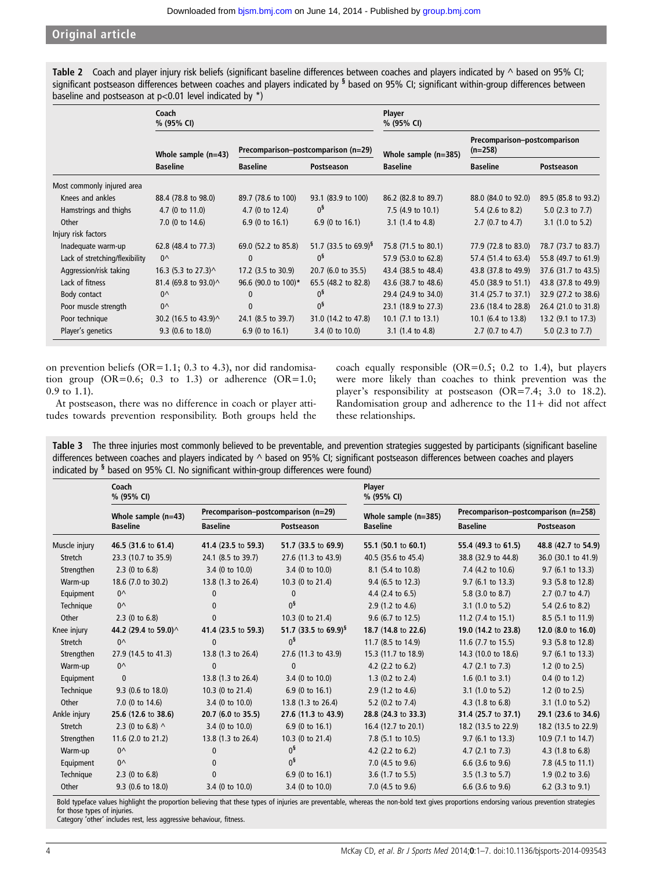# <span id="page-3-0"></span>Original article

Table 2 Coach and player injury risk beliefs (significant baseline differences between coaches and players indicated by  $\land$  based on 95% CI; significant postseason differences between coaches and players indicated by  $\frac{1}{2}$  based on 95% CI; significant within-group differences between baseline and postseason at  $p<0.01$  level indicated by \*)

|                                | Coach<br>% (95% CI)                      |                                     |                                  | Player<br>% (95% CI)          |                                           |                             |
|--------------------------------|------------------------------------------|-------------------------------------|----------------------------------|-------------------------------|-------------------------------------------|-----------------------------|
|                                | Whole sample $(n=43)$<br><b>Baseline</b> | Precomparison-postcomparison (n=29) |                                  | Whole sample (n=385)          | Precomparison-postcomparison<br>$(n=258)$ |                             |
|                                |                                          | <b>Baseline</b>                     | Postseason                       | <b>Baseline</b>               | <b>Baseline</b>                           | Postseason                  |
| Most commonly injured area     |                                          |                                     |                                  |                               |                                           |                             |
| Knees and ankles               | 88.4 (78.8 to 98.0)                      | 89.7 (78.6 to 100)                  | 93.1 (83.9 to 100)               | 86.2 (82.8 to 89.7)           | 88.0 (84.0 to 92.0)                       | 89.5 (85.8 to 93.2)         |
| Hamstrings and thighs          | $4.7(0 \text{ to } 11.0)$                | 4.7 (0 to 12.4)                     | $0^{\frac{5}{3}}$                | 7.5 $(4.9 \text{ to } 10.1)$  | 5.4 $(2.6 \text{ to } 8.2)$               | 5.0 $(2.3 \text{ to } 7.7)$ |
| Other                          | 7.0 (0 to 14.6)                          | $6.9$ (0 to 16.1)                   | 6.9 (0 to $16.1$ )               | 3.1 $(1.4 \text{ to } 4.8)$   | $2.7(0.7)$ to 4.7)                        | $3.1$ (1.0 to 5.2)          |
| Injury risk factors            |                                          |                                     |                                  |                               |                                           |                             |
| Inadequate warm-up             | 62.8 (48.4 to 77.3)                      | 69.0 (52.2 to 85.8)                 | 51.7 (33.5 to 69.9) <sup>§</sup> | 75.8 (71.5 to 80.1)           | 77.9 (72.8 to 83.0)                       | 78.7 (73.7 to 83.7)         |
| Lack of stretching/flexibility | $0^{\wedge}$                             | $\Omega$                            | 0 <sup>5</sup>                   | 57.9 (53.0 to 62.8)           | 57.4 (51.4 to 63.4)                       | 55.8 (49.7 to 61.9)         |
| Aggression/risk taking         | 16.3 (5.3 to 27.3) $\land$               | 17.2 (3.5 to 30.9)                  | 20.7 (6.0 to 35.5)               | 43.4 (38.5 to 48.4)           | 43.8 (37.8 to 49.9)                       | 37.6 (31.7 to 43.5)         |
| Lack of fitness                | 81.4 (69.8 to 93.0)^                     | 96.6 (90.0 to 100)*                 | 65.5 (48.2 to 82.8)              | 43.6 (38.7 to 48.6)           | 45.0 (38.9 to 51.1)                       | 43.8 (37.8 to 49.9)         |
| Body contact                   | $0^{\wedge}$                             | $\mathbf{0}$                        | $0^{\frac{5}{3}}$                | 29.4 (24.9 to 34.0)           | 31.4 (25.7 to 37.1)                       | 32.9 (27.2 to 38.6)         |
| Poor muscle strength           | $0^{\wedge}$                             | 0                                   | $0^{\frac{5}{3}}$                | 23.1 (18.9 to 27.3)           | 23.6 (18.4 to 28.8)                       | 26.4 (21.0 to 31.8)         |
| Poor technique                 | 30.2 (16.5 to 43.9) ^                    | 24.1 (8.5 to 39.7)                  | 31.0 (14.2 to 47.8)              | 10.1 $(7.1 \text{ to } 13.1)$ | 10.1 (6.4 to 13.8)                        | 13.2 (9.1 to 17.3)          |
| Player's genetics              | $9.3$ (0.6 to 18.0)                      | $6.9(0 \text{ to } 16.1)$           | 3.4 (0 to 10.0)                  | 3.1 $(1.4 \text{ to } 4.8)$   | $2.7(0.7)$ to 4.7)                        | 5.0 $(2.3 \text{ to } 7.7)$ |

on prevention beliefs (OR=1.1; 0.3 to 4.3), nor did randomisation group  $(OR=0.6; 0.3 \text{ to } 1.3)$  or adherence  $(OR=1.0;$ 0.9 to 1.1).

At postseason, there was no difference in coach or player attitudes towards prevention responsibility. Both groups held the coach equally responsible ( $OR=0.5$ ; 0.2 to 1.4), but players were more likely than coaches to think prevention was the player's responsibility at postseason (OR=7.4; 3.0 to 18.2). Randomisation group and adherence to the 11+ did not affect these relationships.

Table 3 The three injuries most commonly believed to be preventable, and prevention strategies suggested by participants (significant baseline differences between coaches and players indicated by ^ based on 95% CI; significant postseason differences between coaches and players indicated by <sup>§</sup> based on 95% CI. No significant within-group differences were found)

|                | Coach<br>% (95% CI)    |                                     |                                  | Player<br>% (95% CI)        |                                      |                             |  |
|----------------|------------------------|-------------------------------------|----------------------------------|-----------------------------|--------------------------------------|-----------------------------|--|
|                | Whole sample $(n=43)$  | Precomparison-postcomparison (n=29) |                                  | Whole sample (n=385)        | Precomparison-postcomparison (n=258) |                             |  |
|                | <b>Baseline</b>        | <b>Baseline</b>                     | Postseason                       | <b>Baseline</b>             | <b>Baseline</b>                      | Postseason                  |  |
| Muscle injury  | 46.5 (31.6 to 61.4)    | 41.4 (23.5 to 59.3)                 | 51.7 (33.5 to 69.9)              | 55.1 (50.1 to 60.1)         | 55.4 (49.3 to 61.5)                  | 48.8 (42.7 to 54.9)         |  |
| Stretch        | 23.3 (10.7 to 35.9)    | 24.1 (8.5 to 39.7)                  | 27.6 (11.3 to 43.9)              | 40.5 (35.6 to 45.4)         | 38.8 (32.9 to 44.8)                  | 36.0 (30.1 to 41.9)         |  |
| Strengthen     | $2.3$ (0 to 6.8)       | 3.4 (0 to 10.0)                     | 3.4 (0 to 10.0)                  | 8.1 (5.4 to 10.8)           | 7.4 (4.2 to 10.6)                    | 9.7 (6.1 to 13.3)           |  |
| Warm-up        | 18.6 (7.0 to 30.2)     | 13.8 (1.3 to 26.4)                  | 10.3 (0 to 21.4)                 | 9.4 (6.5 to 12.3)           | $9.7$ (6.1 to 13.3)                  | 9.3 (5.8 to 12.8)           |  |
| Equipment      | $0^{\wedge}$           | $\mathbf{0}$                        | $\mathbf{0}$                     | 4.4 $(2.4 \text{ to } 6.5)$ | 5.8 (3.0 to 8.7)                     | $2.7$ (0.7 to 4.7)          |  |
| Technique      | $0^{\wedge}$           | $\mathbf{0}$                        | 0 <sup>5</sup>                   | $2.9(1.2 \text{ to } 4.6)$  | $3.1$ (1.0 to 5.2)                   | 5.4 (2.6 to 8.2)            |  |
| Other          | $2.3$ (0 to 6.8)       | $\mathbf{0}$                        | 10.3 (0 to 21.4)                 | 9.6 (6.7 to 12.5)           | 11.2 $(7.4 \text{ to } 15.1)$        | 8.5 (5.1 to 11.9)           |  |
| Knee injury    | 44.2 (29.4 to 59.0)^   | 41.4 (23.5 to 59.3)                 | 51.7 (33.5 to 69.9) <sup>§</sup> | 18.7 (14.8 to 22.6)         | 19.0 (14.2 to 23.8)                  | 12.0 (8.0 to 16.0)          |  |
| Stretch        | $0^{\wedge}$           | $\mathbf{0}$                        | 0 <sup>5</sup>                   | 11.7 (8.5 to 14.9)          | 11.6 $(7.7 \text{ to } 15.5)$        | 9.3 (5.8 to 12.8)           |  |
| Strengthen     | 27.9 (14.5 to 41.3)    | 13.8 (1.3 to 26.4)                  | 27.6 (11.3 to 43.9)              | 15.3 (11.7 to 18.9)         | 14.3 (10.0 to 18.6)                  | 9.7 (6.1 to 13.3)           |  |
| Warm-up        | $0^{\wedge}$           | $\mathbf{0}$                        | $\mathbf{0}$                     | 4.2 $(2.2 \text{ to } 6.2)$ | $4.7$ (2.1 to 7.3)                   | 1.2 (0 to $2.5$ )           |  |
| Equipment      | $\mathbf{0}$           | 13.8 (1.3 to 26.4)                  | 3.4 (0 to 10.0)                  | $1.3$ (0.2 to 2.4)          | $1.6$ (0.1 to 3.1)                   | $0.4$ (0 to 1.2)            |  |
| Technique      | 9.3 (0.6 to 18.0)      | 10.3 (0 to 21.4)                    | 6.9 (0 to 16.1)                  | $2.9(1.2 \text{ to } 4.6)$  | $3.1$ (1.0 to 5.2)                   | 1.2 (0 to $2.5$ )           |  |
| Other          | 7.0 (0 to 14.6)        | 3.4 (0 to 10.0)                     | 13.8 (1.3 to 26.4)               | 5.2 (0.2 to 7.4)            | $4.3$ (1.8 to 6.8)                   | $3.1$ (1.0 to 5.2)          |  |
| Ankle injury   | 25.6 (12.6 to 38.6)    | 20.7 (6.0 to 35.5)                  | 27.6 (11.3 to 43.9)              | 28.8 (24.3 to 33.3)         | 31.4 (25.7 to 37.1)                  | 29.1 (23.6 to 34.6)         |  |
| <b>Stretch</b> | 2.3 (0 to 6.8) $\land$ | 3.4 (0 to 10.0)                     | 6.9 (0 to 16.1)                  | 16.4 (12.7 to 20.1)         | 18.2 (13.5 to 22.9)                  | 18.2 (13.5 to 22.9)         |  |
| Strengthen     | 11.6 (2.0 to 21.2)     | 13.8 (1.3 to 26.4)                  | 10.3 (0 to 21.4)                 | 7.8 (5.1 to 10.5)           | $9.7$ (6.1 to 13.3)                  | 10.9 (7.1 to 14.7)          |  |
| Warm-up        | $0^{\wedge}$           | $\mathbf{0}$                        | $0^{\frac{5}{3}}$                | 4.2 $(2.2 \text{ to } 6.2)$ | 4.7 $(2.1 \text{ to } 7.3)$          | $4.3$ (1.8 to 6.8)          |  |
| Equipment      | $0^{\wedge}$           | 0                                   | $0^{\frac{5}{3}}$                | 7.0 (4.5 to 9.6)            | 6.6 (3.6 to 9.6)                     | 7.8 (4.5 to 11.1)           |  |
| Technique      | $2.3$ (0 to 6.8)       | $\mathbf{0}$                        | 6.9 (0 to 16.1)                  | 3.6 (1.7 to 5.5)            | $3.5$ (1.3 to 5.7)                   | $1.9$ (0.2 to 3.6)          |  |
| Other          | 9.3 (0.6 to 18.0)      | 3.4 (0 to 10.0)                     | 3.4 (0 to 10.0)                  | 7.0 (4.5 to 9.6)            | 6.6 $(3.6 \text{ to } 9.6)$          | 6.2 $(3.3 \text{ to } 9.1)$ |  |

Bold typeface values highlight the proportion believing that these types of injuries are preventable, whereas the non-bold text gives proportions endorsing various prevention strategies for those types of injuries.

Category 'other' includes rest, less aggressive behaviour, fitness.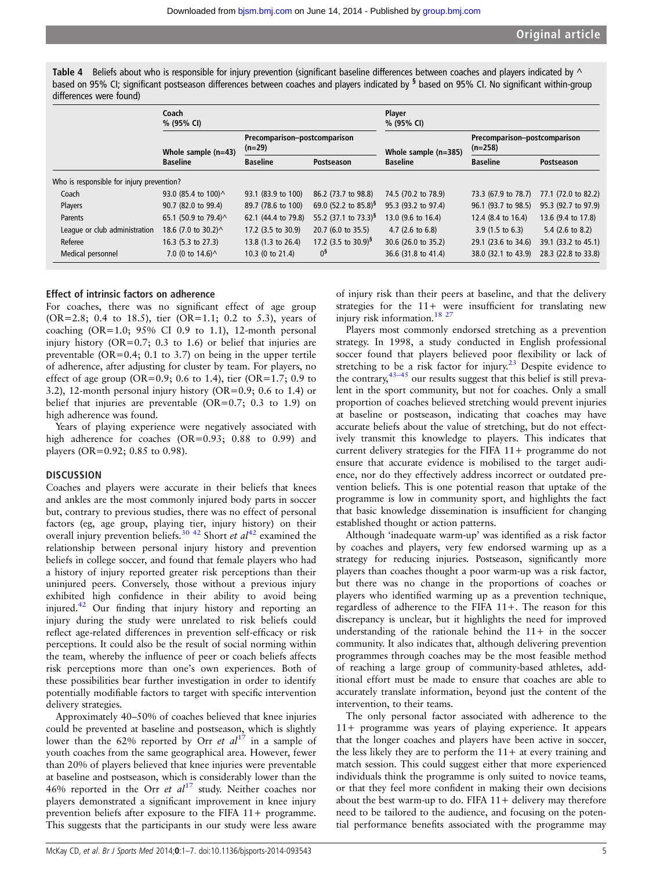<span id="page-4-0"></span>Table 4 Beliefs about who is responsible for injury prevention (significant baseline differences between coaches and players indicated by  $\wedge$ based on 95% CI; significant postseason differences between coaches and players indicated by <sup>§</sup> based on 95% CI. No significant within-group differences were found)

|                               | Coach<br>% (95% CI)                       |                                          |                                    | Player<br>% (95% CI)       |                                           |                             |  |
|-------------------------------|-------------------------------------------|------------------------------------------|------------------------------------|----------------------------|-------------------------------------------|-----------------------------|--|
|                               | Whole sample $(n=43)$                     | Precomparison-postcomparison<br>$(n=29)$ |                                    | Whole sample (n=385)       | Precomparison-postcomparison<br>$(n=258)$ |                             |  |
|                               | <b>Baseline</b>                           | <b>Baseline</b>                          | Postseason                         | <b>Baseline</b>            | <b>Baseline</b>                           | Postseason                  |  |
|                               | Who is responsible for injury prevention? |                                          |                                    |                            |                                           |                             |  |
| Coach                         | 93.0 (85.4 to 100)^                       | 93.1 (83.9 to 100)                       | 86.2 (73.7 to 98.8)                | 74.5 (70.2 to 78.9)        | 73.3 (67.9 to 78.7)                       | 77.1 (72.0 to 82.2)         |  |
| Players                       | 90.7 (82.0 to 99.4)                       | 89.7 (78.6 to 100)                       | 69.0 (52.2 to 85.8) <sup>§</sup>   | 95.3 (93.2 to 97.4)        | 96.1 (93.7 to 98.5)                       | 95.3 (92.7 to 97.9)         |  |
| <b>Parents</b>                | 65.1 (50.9 to 79.4) ^                     | 62.1 (44.4 to 79.8)                      | 55.2 $(37.1 \text{ to } 73.3)^{9}$ | 13.0 (9.6 to 16.4)         | 12.4 (8.4 to 16.4)                        | 13.6 (9.4 to 17.8)          |  |
| League or club administration | 18.6 (7.0 to 30.2) ^                      | 17.2 (3.5 to 30.9)                       | 20.7 (6.0 to 35.5)                 | $4.7(2.6 \text{ to } 6.8)$ | $3.9(1.5 \text{ to } 6.3)$                | 5.4 $(2.6 \text{ to } 8.2)$ |  |
| Referee                       | 16.3 (5.3 to 27.3)                        | 13.8 (1.3 to 26.4)                       | 17.2 (3.5 to 30.9) <sup>§</sup>    | 30.6 (26.0 to 35.2)        | 29.1 (23.6 to 34.6)                       | 39.1 (33.2 to 45.1)         |  |
| Medical personnel             | 7.0 (0 to $14.6$ ) $^{\wedge}$            | 10.3 (0 to 21.4)                         | $0^{\frac{5}{3}}$                  | 36.6 (31.8 to 41.4)        | 38.0 (32.1 to 43.9)                       | 28.3 (22.8 to 33.8)         |  |

## Effect of intrinsic factors on adherence

For coaches, there was no significant effect of age group (OR=2.8; 0.4 to 18.5), tier (OR=1.1; 0.2 to 5.3), years of coaching  $(OR=1.0; 95\% \text{ CI } 0.9 \text{ to } 1.1)$ , 12-month personal injury history ( $OR=0.7$ ; 0.3 to 1.6) or belief that injuries are preventable (OR=0.4; 0.1 to 3.7) on being in the upper tertile of adherence, after adjusting for cluster by team. For players, no effect of age group (OR=0.9; 0.6 to 1.4), tier (OR=1.7; 0.9 to 3.2), 12-month personal injury history (OR=0.9; 0.6 to 1.4) or belief that injuries are preventable (OR=0.7; 0.3 to 1.9) on high adherence was found.

Years of playing experience were negatively associated with high adherence for coaches (OR=0.93; 0.88 to 0.99) and players (OR=0.92; 0.85 to 0.98).

#### **DISCUSSION**

Coaches and players were accurate in their beliefs that knees and ankles are the most commonly injured body parts in soccer but, contrary to previous studies, there was no effect of personal factors (eg, age group, playing tier, injury history) on their overall injury prevention beliefs.<sup>[30 42](#page-6-0)</sup> Short *et al*<sup>[42](#page-6-0)</sup> examined the relationship between personal injury history and prevention beliefs in college soccer, and found that female players who had a history of injury reported greater risk perceptions than their uninjured peers. Conversely, those without a previous injury exhibited high confidence in their ability to avoid being injured[.42](#page-6-0) Our finding that injury history and reporting an injury during the study were unrelated to risk beliefs could reflect age-related differences in prevention self-efficacy or risk perceptions. It could also be the result of social norming within the team, whereby the influence of peer or coach beliefs affects risk perceptions more than one's own experiences. Both of these possibilities bear further investigation in order to identify potentially modifiable factors to target with specific intervention delivery strategies.

Approximately 40–50% of coaches believed that knee injuries could be prevented at baseline and postseason, which is slightly lower than the 62% reported by Orr et  $al^{17}$  $al^{17}$  $al^{17}$  in a sample of youth coaches from the same geographical area. However, fewer than 20% of players believed that knee injuries were preventable at baseline and postseason, which is considerably lower than the 46% reported in the Orr et  $al^{17}$  $al^{17}$  $al^{17}$  study. Neither coaches nor players demonstrated a significant improvement in knee injury prevention beliefs after exposure to the FIFA 11+ programme. This suggests that the participants in our study were less aware

of injury risk than their peers at baseline, and that the delivery strategies for the 11+ were insufficient for translating new injury risk information.<sup>18 27</sup>

Players most commonly endorsed stretching as a prevention strategy. In 1998, a study conducted in English professional soccer found that players believed poor flexibility or lack of stretching to be a risk factor for injury.<sup>[23](#page-6-0)</sup> Despite evidence to the contrary,43–[45](#page-6-0) our results suggest that this belief is still prevalent in the sport community, but not for coaches. Only a small proportion of coaches believed stretching would prevent injuries at baseline or postseason, indicating that coaches may have accurate beliefs about the value of stretching, but do not effectively transmit this knowledge to players. This indicates that current delivery strategies for the FIFA 11+ programme do not ensure that accurate evidence is mobilised to the target audience, nor do they effectively address incorrect or outdated prevention beliefs. This is one potential reason that uptake of the programme is low in community sport, and highlights the fact that basic knowledge dissemination is insufficient for changing established thought or action patterns.

Although 'inadequate warm-up' was identified as a risk factor by coaches and players, very few endorsed warming up as a strategy for reducing injuries. Postseason, significantly more players than coaches thought a poor warm-up was a risk factor, but there was no change in the proportions of coaches or players who identified warming up as a prevention technique, regardless of adherence to the FIFA 11+. The reason for this discrepancy is unclear, but it highlights the need for improved understanding of the rationale behind the  $11+$  in the soccer community. It also indicates that, although delivering prevention programmes through coaches may be the most feasible method of reaching a large group of community-based athletes, additional effort must be made to ensure that coaches are able to accurately translate information, beyond just the content of the intervention, to their teams.

The only personal factor associated with adherence to the 11+ programme was years of playing experience. It appears that the longer coaches and players have been active in soccer, the less likely they are to perform the  $11+$  at every training and match session. This could suggest either that more experienced individuals think the programme is only suited to novice teams, or that they feel more confident in making their own decisions about the best warm-up to do. FIFA 11+ delivery may therefore need to be tailored to the audience, and focusing on the potential performance benefits associated with the programme may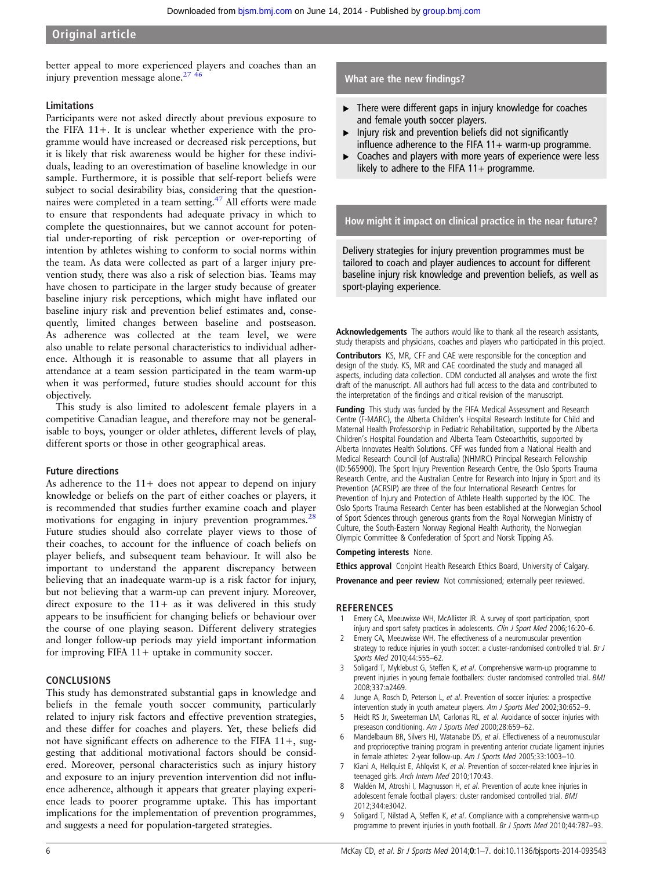# <span id="page-5-0"></span>Original article

better appeal to more experienced players and coaches than an injury prevention message alone. $27 \frac{1}{6}$ 

# Limitations

Participants were not asked directly about previous exposure to the FIFA 11+. It is unclear whether experience with the programme would have increased or decreased risk perceptions, but it is likely that risk awareness would be higher for these individuals, leading to an overestimation of baseline knowledge in our sample. Furthermore, it is possible that self-report beliefs were subject to social desirability bias, considering that the question-naires were completed in a team setting.<sup>[47](#page-6-0)</sup> All efforts were made to ensure that respondents had adequate privacy in which to complete the questionnaires, but we cannot account for potential under-reporting of risk perception or over-reporting of intention by athletes wishing to conform to social norms within the team. As data were collected as part of a larger injury prevention study, there was also a risk of selection bias. Teams may have chosen to participate in the larger study because of greater baseline injury risk perceptions, which might have inflated our baseline injury risk and prevention belief estimates and, consequently, limited changes between baseline and postseason. As adherence was collected at the team level, we were also unable to relate personal characteristics to individual adherence. Although it is reasonable to assume that all players in attendance at a team session participated in the team warm-up when it was performed, future studies should account for this objectively.

This study is also limited to adolescent female players in a competitive Canadian league, and therefore may not be generalisable to boys, younger or older athletes, different levels of play, different sports or those in other geographical areas.

#### Future directions

As adherence to the  $11+$  does not appear to depend on injury knowledge or beliefs on the part of either coaches or players, it is recommended that studies further examine coach and player motivations for engaging in injury prevention programmes.<sup>28</sup> Future studies should also correlate player views to those of their coaches, to account for the influence of coach beliefs on player beliefs, and subsequent team behaviour. It will also be important to understand the apparent discrepancy between believing that an inadequate warm-up is a risk factor for injury, but not believing that a warm-up can prevent injury. Moreover, direct exposure to the  $11+$  as it was delivered in this study appears to be insufficient for changing beliefs or behaviour over the course of one playing season. Different delivery strategies and longer follow-up periods may yield important information for improving FIFA 11+ uptake in community soccer.

#### CONCLUSIONS

This study has demonstrated substantial gaps in knowledge and beliefs in the female youth soccer community, particularly related to injury risk factors and effective prevention strategies, and these differ for coaches and players. Yet, these beliefs did not have significant effects on adherence to the FIFA 11+, suggesting that additional motivational factors should be considered. Moreover, personal characteristics such as injury history and exposure to an injury prevention intervention did not influence adherence, although it appears that greater playing experience leads to poorer programme uptake. This has important implications for the implementation of prevention programmes, and suggests a need for population-targeted strategies.

# What are the new findings?

- ▸ There were different gaps in injury knowledge for coaches and female youth soccer players.
- $\blacktriangleright$  Injury risk and prevention beliefs did not significantly influence adherence to the FIFA  $11+$  warm-up programme.
- ▸ Coaches and players with more years of experience were less likely to adhere to the FIFA  $11+$  programme.

How might it impact on clinical practice in the near future?

Delivery strategies for injury prevention programmes must be tailored to coach and player audiences to account for different baseline injury risk knowledge and prevention beliefs, as well as sport-playing experience.

Acknowledgements The authors would like to thank all the research assistants, study therapists and physicians, coaches and players who participated in this project.

Contributors KS, MR, CFF and CAE were responsible for the conception and design of the study. KS, MR and CAE coordinated the study and managed all aspects, including data collection. CDM conducted all analyses and wrote the first draft of the manuscript. All authors had full access to the data and contributed to the interpretation of the findings and critical revision of the manuscript.

Funding This study was funded by the FIFA Medical Assessment and Research Centre (F-MARC), the Alberta Children's Hospital Research Institute for Child and Maternal Health Professorship in Pediatric Rehabilitation, supported by the Alberta Children's Hospital Foundation and Alberta Team Osteoarthritis, supported by Alberta Innovates Health Solutions. CFF was funded from a National Health and Medical Research Council (of Australia) (NHMRC) Principal Research Fellowship (ID:565900). The Sport Injury Prevention Research Centre, the Oslo Sports Trauma Research Centre, and the Australian Centre for Research into Injury in Sport and its Prevention (ACRSIP) are three of the four International Research Centres for Prevention of Injury and Protection of Athlete Health supported by the IOC. The Oslo Sports Trauma Research Center has been established at the Norwegian School of Sport Sciences through generous grants from the Royal Norwegian Ministry of Culture, the South-Eastern Norway Regional Health Authority, the Norwegian Olympic Committee & Confederation of Sport and Norsk Tipping AS.

## Competing interests None.

Ethics approval Conjoint Health Research Ethics Board, University of Calgary.

Provenance and peer review Not commissioned; externally peer reviewed.

#### **REFERENCES**

- 1 Emery CA, Meeuwisse WH, McAllister JR. A survey of sport participation, sport injury and sport safety practices in adolescents. Clin J Sport Med 2006;16:20-6.
- 2 Emery CA, Meeuwisse WH. The effectiveness of a neuromuscular prevention strategy to reduce injuries in youth soccer: a cluster-randomised controlled trial. Br J Sports Med 2010;44:555–62.
- 3 Soligard T, Myklebust G, Steffen K, et al. Comprehensive warm-up programme to prevent injuries in young female footballers: cluster randomised controlled trial. BMJ 2008;337:a2469.
- 4 Junge A, Rosch D, Peterson L, et al. Prevention of soccer injuries: a prospective intervention study in youth amateur players. Am J Sports Med 2002;30:652–9.
- 5 Heidt RS Jr, Sweeterman LM, Carlonas RL, et al. Avoidance of soccer injuries with preseason conditioning. Am J Sports Med 2000;28:659-62.
- Mandelbaum BR, Silvers HJ, Watanabe DS, et al. Effectiveness of a neuromuscular and proprioceptive training program in preventing anterior cruciate ligament injuries in female athletes: 2-year follow-up. Am J Sports Med 2005;33:1003–10.
- 7 Kiani A, Hellquist E, Ahlqvist K, et al. Prevention of soccer-related knee injuries in teenaged girls. Arch Intern Med 2010;170:43.
- 8 Waldén M, Atroshi I, Magnusson H, et al. Prevention of acute knee injuries in adolescent female football players: cluster randomised controlled trial. BMJ 2012;344:e3042.
- 9 Soligard T, Nilstad A, Steffen K, et al. Compliance with a comprehensive warm-up programme to prevent injuries in youth football. Br J Sports Med 2010;44:787-93.